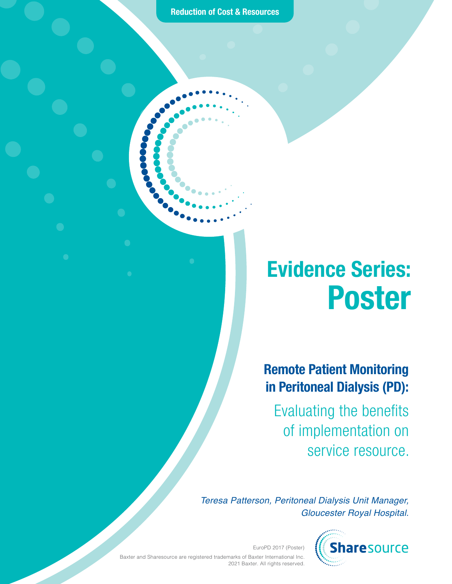**Reduction of Cost & Resources**

# Evidence Series: Poster

Remote Patient Monitoring in Peritoneal Dialysis (PD):

Evaluating the benefits of implementation on service resource.

*Teresa Patterson, Peritoneal Dialysis Unit Manager, Gloucester Royal Hospital.*



EuroPD 2017 (Poster) Baxter and Sharesource are registered trademarks of Baxter International Inc. 2021 Baxter. All rights reserved.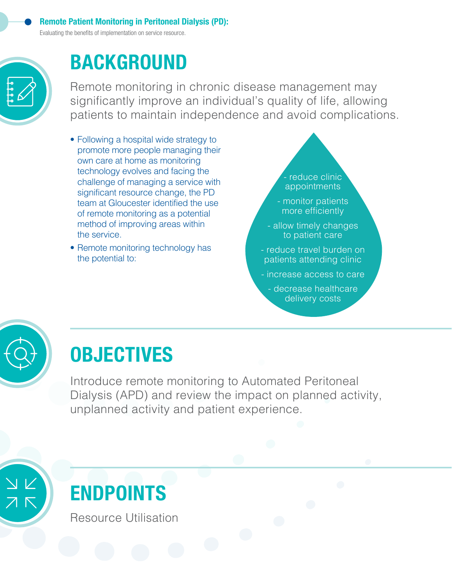Evaluating the benefits of implementation on service resource.



### BACKGROUND

Remote monitoring in chronic disease management may significantly improve an individual's quality of life, allowing patients to maintain independence and avoid complications.

- Following a hospital wide strategy to promote more people managing their own care at home as monitoring technology evolves and facing the challenge of managing a service with significant resource change, the PD team at Gloucester identified the use of remote monitoring as a potential method of improving areas within the service.
- Remote monitoring technology has the potential to:

- reduce clinic appointments

- monitor patients more efficiently
- allow timely changes to patient care
- reduce travel burden on patients attending clinic
- increase access to care
- decrease healthcare delivery costs



# **OBJECTIVES**

Introduce remote monitoring to Automated Peritoneal Dialysis (APD) and review the impact on planned activity, unplanned activity and patient experience.



# ENDPOINTS

Resource Utilisation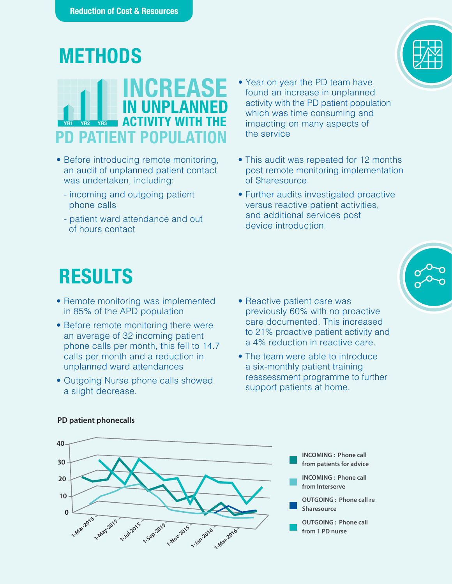#### **METHODS**

#### **YR1 YR2 YR3 CREASE** IN UNPLANNED ACTIVITY WITH THE PD PATIENT POPULATIO

- Before introducing remote monitoring, an audit of unplanned patient contact was undertaken, including:
	- incoming and outgoing patient phone calls
	- patient ward attendance and out of hours contact
- Year on year the PD team have found an increase in unplanned activity with the PD patient population which was time consuming and impacting on many aspects of the service
- This audit was repeated for 12 months post remote monitoring implementation of Sharesource.
- Further audits investigated proactive versus reactive patient activities, and additional services post device introduction.

## RESULTS

- Remote monitoring was implemented in 85% of the APD population
- Before remote monitoring there were an average of 32 incoming patient phone calls per month, this fell to 14.7 calls per month and a reduction in unplanned ward attendances
- Outgoing Nurse phone calls showed a slight decrease.
- Reactive patient care was previously 60% with no proactive care documented. This increased to 21% proactive patient activity and a 4% reduction in reactive care.
- The team were able to introduce a six-monthly patient training reassessment programme to further support patients at home.



#### **PD patient phonecalls**